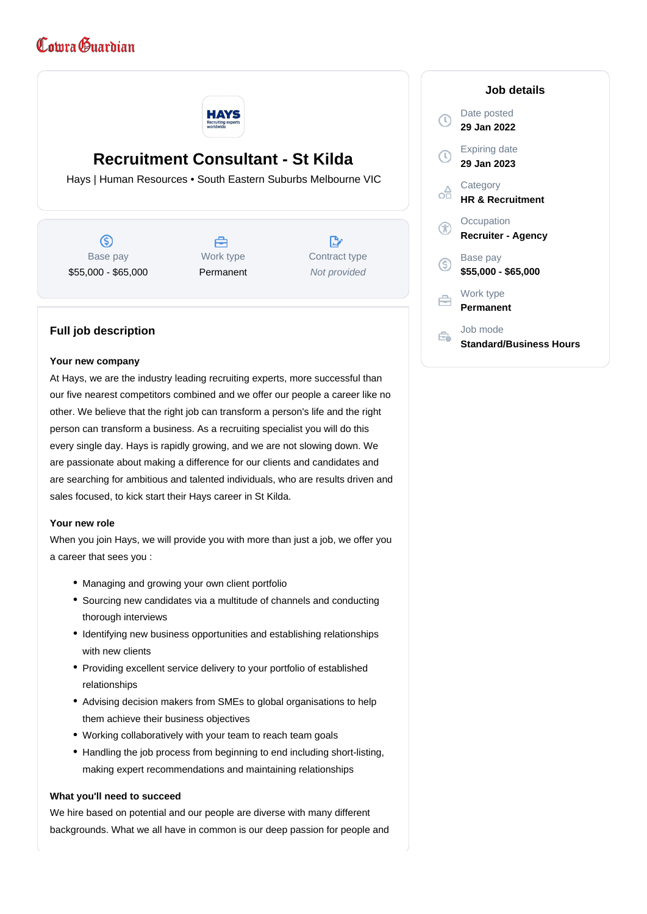# Comra Guardian



## **Recruitment Consultant - St Kilda**

Hays | Human Resources • South Eastern Suburbs Melbourne VIC

ග Base pay \$55,000 - \$65,000

A Work type Permanent

R Contract type Not provided

### **29 Jan 2022** Expiring date **29 Jan 2023 Category** oô **HR & Recruitment Occupation Recruiter - Agency** Base pay (S) **\$55,000 - \$65,000**

**Job details**

Date posted

 $\mathbb{C}$ 

白

#### **Full job description**

#### **Your new company**

At Hays, we are the industry leading recruiting experts, more successful than our five nearest competitors combined and we offer our people a career like no other. We believe that the right job can transform a person's life and the right person can transform a business. As a recruiting specialist you will do this every single day. Hays is rapidly growing, and we are not slowing down. We are passionate about making a difference for our clients and candidates and are searching for ambitious and talented individuals, who are results driven and sales focused, to kick start their Hays career in St Kilda.

#### **Your new role**

When you join Hays, we will provide you with more than just a job, we offer you a career that sees you :

- Managing and growing your own client portfolio
- Sourcing new candidates via a multitude of channels and conducting thorough interviews
- Identifying new business opportunities and establishing relationships with new clients
- Providing excellent service delivery to your portfolio of established relationships
- Advising decision makers from SMEs to global organisations to help them achieve their business objectives
- Working collaboratively with your team to reach team goals
- Handling the job process from beginning to end including short-listing, making expert recommendations and maintaining relationships

#### **What you'll need to succeed**

We hire based on potential and our people are diverse with many different backgrounds. What we all have in common is our deep passion for people and Work type **Permanent**

#### Job mode Ê. **Standard/Business Hours**